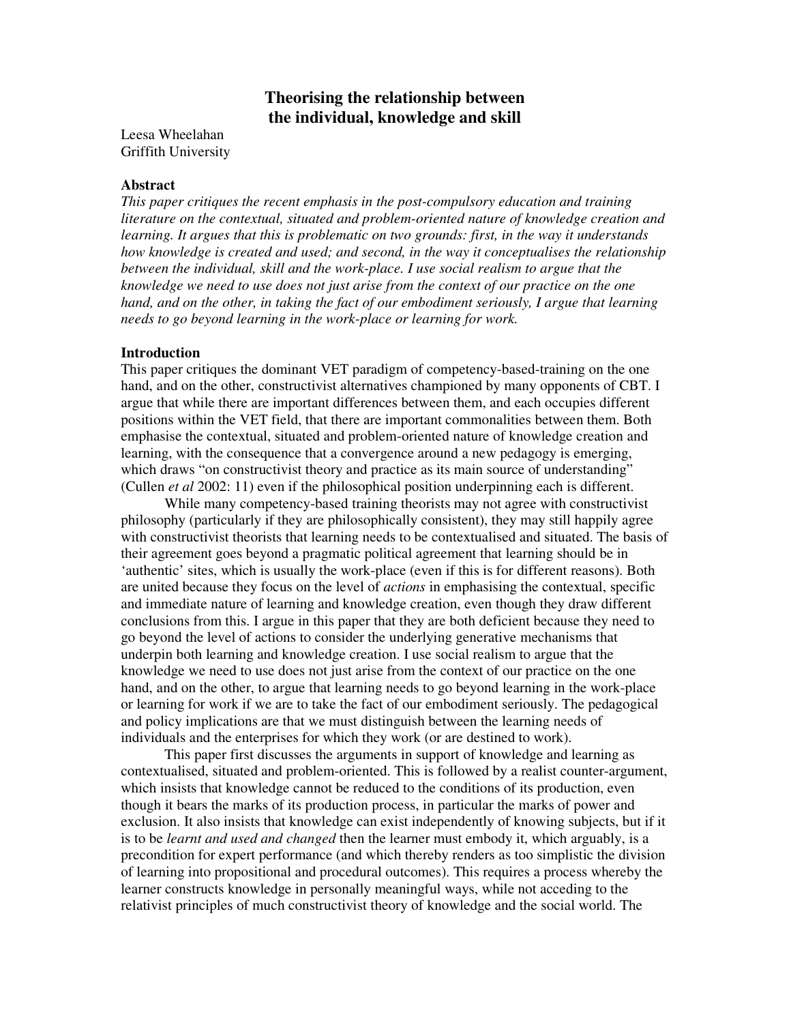# **Theorising the relationship between the individual, knowledge and skill**

Leesa Wheelahan Griffith University

### **Abstract**

*This paper critiques the recent emphasis in the post-compulsory education and training literature on the contextual, situated and problem-oriented nature of knowledge creation and learning. It argues that this is problematic on two grounds: first, in the way it understands how knowledge is created and used; and second, in the way it conceptualises the relationship between the individual, skill and the work-place. I use social realism to argue that the knowledge we need to use does not just arise from the context of our practice on the one hand, and on the other, in taking the fact of our embodiment seriously, I argue that learning needs to go beyond learning in the work-place or learning for work.*

## **Introduction**

This paper critiques the dominant VET paradigm of competency-based-training on the one hand, and on the other, constructivist alternatives championed by many opponents of CBT. I argue that while there are important differences between them, and each occupies different positions within the VET field, that there are important commonalities between them. Both emphasise the contextual, situated and problem-oriented nature of knowledge creation and learning, with the consequence that a convergence around a new pedagogy is emerging, which draws "on constructivist theory and practice as its main source of understanding" (Cullen *et al* 2002: 11) even if the philosophical position underpinning each is different.

While many competency-based training theorists may not agree with constructivist philosophy (particularly if they are philosophically consistent), they may still happily agree with constructivist theorists that learning needs to be contextualised and situated. The basis of their agreement goes beyond a pragmatic political agreement that learning should be in 'authentic' sites, which is usually the work-place (even if this is for different reasons). Both are united because they focus on the level of *actions* in emphasising the contextual, specific and immediate nature of learning and knowledge creation, even though they draw different conclusions from this. I argue in this paper that they are both deficient because they need to go beyond the level of actions to consider the underlying generative mechanisms that underpin both learning and knowledge creation. I use social realism to argue that the knowledge we need to use does not just arise from the context of our practice on the one hand, and on the other, to argue that learning needs to go beyond learning in the work-place or learning for work if we are to take the fact of our embodiment seriously. The pedagogical and policy implications are that we must distinguish between the learning needs of individuals and the enterprises for which they work (or are destined to work).

This paper first discusses the arguments in support of knowledge and learning as contextualised, situated and problem-oriented. This is followed by a realist counter-argument, which insists that knowledge cannot be reduced to the conditions of its production, even though it bears the marks of its production process, in particular the marks of power and exclusion. It also insists that knowledge can exist independently of knowing subjects, but if it is to be *learnt and used and changed* then the learner must embody it, which arguably, is a precondition for expert performance (and which thereby renders as too simplistic the division of learning into propositional and procedural outcomes). This requires a process whereby the learner constructs knowledge in personally meaningful ways, while not acceding to the relativist principles of much constructivist theory of knowledge and the social world. The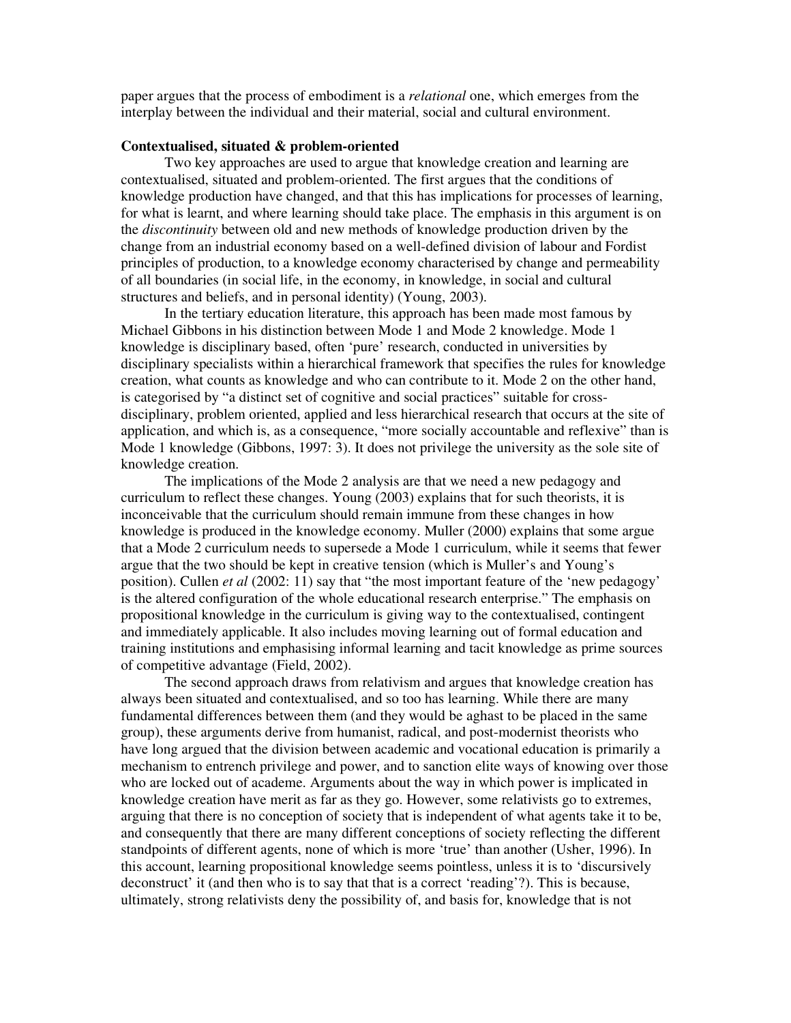paper argues that the process of embodiment is a *relational* one, which emerges from the interplay between the individual and their material, social and cultural environment.

### **Contextualised, situated & problem-oriented**

Two key approaches are used to argue that knowledge creation and learning are contextualised, situated and problem-oriented. The first argues that the conditions of knowledge production have changed, and that this has implications for processes of learning, for what is learnt, and where learning should take place. The emphasis in this argument is on the *discontinuity* between old and new methods of knowledge production driven by the change from an industrial economy based on a well-defined division of labour and Fordist principles of production, to a knowledge economy characterised by change and permeability of all boundaries (in social life, in the economy, in knowledge, in social and cultural structures and beliefs, and in personal identity) (Young, 2003).

In the tertiary education literature, this approach has been made most famous by Michael Gibbons in his distinction between Mode 1 and Mode 2 knowledge. Mode 1 knowledge is disciplinary based, often 'pure' research, conducted in universities by disciplinary specialists within a hierarchical framework that specifies the rules for knowledge creation, what counts as knowledge and who can contribute to it. Mode 2 on the other hand, is categorised by "a distinct set of cognitive and social practices" suitable for crossdisciplinary, problem oriented, applied and less hierarchical research that occurs at the site of application, and which is, as a consequence, "more socially accountable and reflexive" than is Mode 1 knowledge (Gibbons, 1997: 3). It does not privilege the university as the sole site of knowledge creation.

The implications of the Mode 2 analysis are that we need a new pedagogy and curriculum to reflect these changes. Young (2003) explains that for such theorists, it is inconceivable that the curriculum should remain immune from these changes in how knowledge is produced in the knowledge economy. Muller (2000) explains that some argue that a Mode 2 curriculum needs to supersede a Mode 1 curriculum, while it seems that fewer argue that the two should be kept in creative tension (which is Muller's and Young's position). Cullen *et al* (2002: 11) say that "the most important feature of the 'new pedagogy' is the altered configuration of the whole educational research enterprise." The emphasis on propositional knowledge in the curriculum is giving way to the contextualised, contingent and immediately applicable. It also includes moving learning out of formal education and training institutions and emphasising informal learning and tacit knowledge as prime sources of competitive advantage (Field, 2002).

The second approach draws from relativism and argues that knowledge creation has always been situated and contextualised, and so too has learning. While there are many fundamental differences between them (and they would be aghast to be placed in the same group), these arguments derive from humanist, radical, and post-modernist theorists who have long argued that the division between academic and vocational education is primarily a mechanism to entrench privilege and power, and to sanction elite ways of knowing over those who are locked out of academe. Arguments about the way in which power is implicated in knowledge creation have merit as far as they go. However, some relativists go to extremes, arguing that there is no conception of society that is independent of what agents take it to be, and consequently that there are many different conceptions of society reflecting the different standpoints of different agents, none of which is more 'true' than another (Usher, 1996). In this account, learning propositional knowledge seems pointless, unless it is to 'discursively deconstruct' it (and then who is to say that that is a correct 'reading'?). This is because, ultimately, strong relativists deny the possibility of, and basis for, knowledge that is not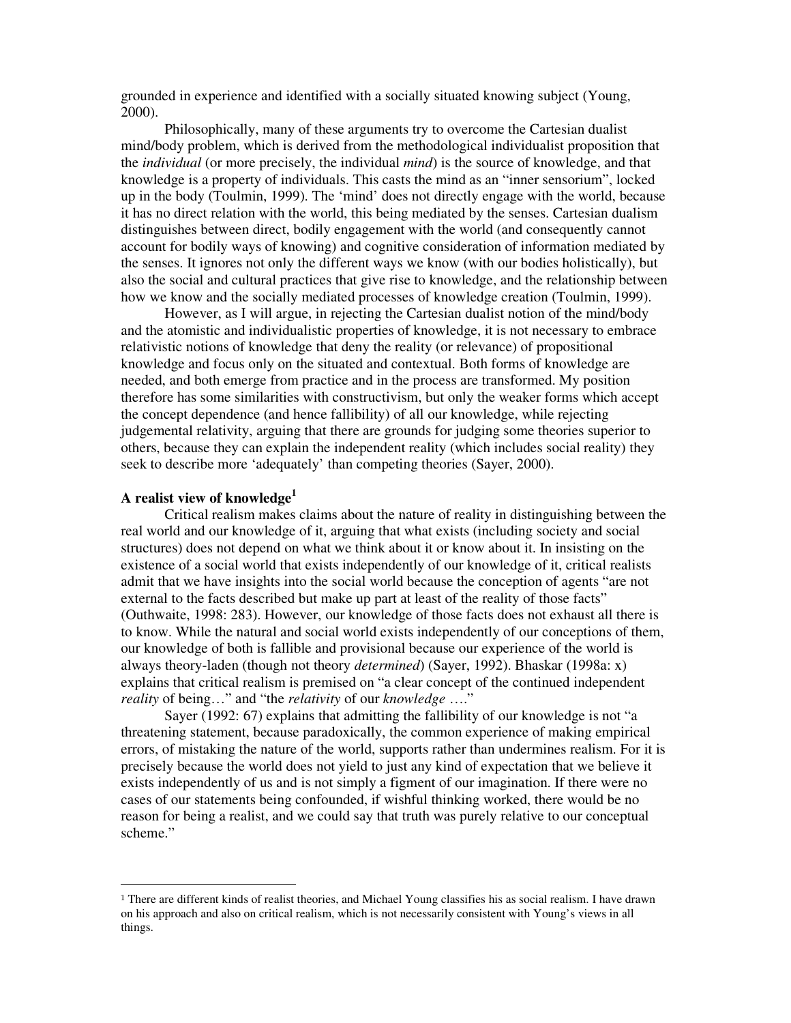grounded in experience and identified with a socially situated knowing subject (Young, 2000).

Philosophically, many of these arguments try to overcome the Cartesian dualist mind/body problem, which is derived from the methodological individualist proposition that the *individual* (or more precisely, the individual *mind*) is the source of knowledge, and that knowledge is a property of individuals. This casts the mind as an "inner sensorium", locked up in the body (Toulmin, 1999). The 'mind' does not directly engage with the world, because it has no direct relation with the world, this being mediated by the senses. Cartesian dualism distinguishes between direct, bodily engagement with the world (and consequently cannot account for bodily ways of knowing) and cognitive consideration of information mediated by the senses. It ignores not only the different ways we know (with our bodies holistically), but also the social and cultural practices that give rise to knowledge, and the relationship between how we know and the socially mediated processes of knowledge creation (Toulmin, 1999).

However, as I will argue, in rejecting the Cartesian dualist notion of the mind/body and the atomistic and individualistic properties of knowledge, it is not necessary to embrace relativistic notions of knowledge that deny the reality (or relevance) of propositional knowledge and focus only on the situated and contextual. Both forms of knowledge are needed, and both emerge from practice and in the process are transformed. My position therefore has some similarities with constructivism, but only the weaker forms which accept the concept dependence (and hence fallibility) of all our knowledge, while rejecting judgemental relativity, arguing that there are grounds for judging some theories superior to others, because they can explain the independent reality (which includes social reality) they seek to describe more 'adequately' than competing theories (Sayer, 2000).

# **A realist view of knowledge 1**

<u> 1989 - Johann Barn, mars eta bainar eta i</u>

Critical realism makes claims about the nature of reality in distinguishing between the real world and our knowledge of it, arguing that what exists (including society and social structures) does not depend on what we think about it or know about it. In insisting on the existence of a social world that exists independently of our knowledge of it, critical realists admit that we have insights into the social world because the conception of agents "are not external to the facts described but make up part at least of the reality of those facts" (Outhwaite, 1998: 283). However, our knowledge of those facts does not exhaust all there is to know. While the natural and social world exists independently of our conceptions of them, our knowledge of both is fallible and provisional because our experience of the world is always theory-laden (though not theory *determined*) (Sayer, 1992). Bhaskar (1998a: x) explains that critical realism is premised on "a clear concept of the continued independent *reality* of being…" and "the *relativity* of our *knowledge* …."

Sayer (1992: 67) explains that admitting the fallibility of our knowledge is not "a threatening statement, because paradoxically, the common experience of making empirical errors, of mistaking the nature of the world, supports rather than undermines realism. For it is precisely because the world does not yield to just any kind of expectation that we believe it exists independently of us and is not simply a figment of our imagination. If there were no cases of our statements being confounded, if wishful thinking worked, there would be no reason for being a realist, and we could say that truth was purely relative to our conceptual scheme."

<sup>&</sup>lt;sup>1</sup> There are different kinds of realist theories, and Michael Young classifies his as social realism. I have drawn on his approach and also on critical realism, which is not necessarily consistent with Young's views in all things.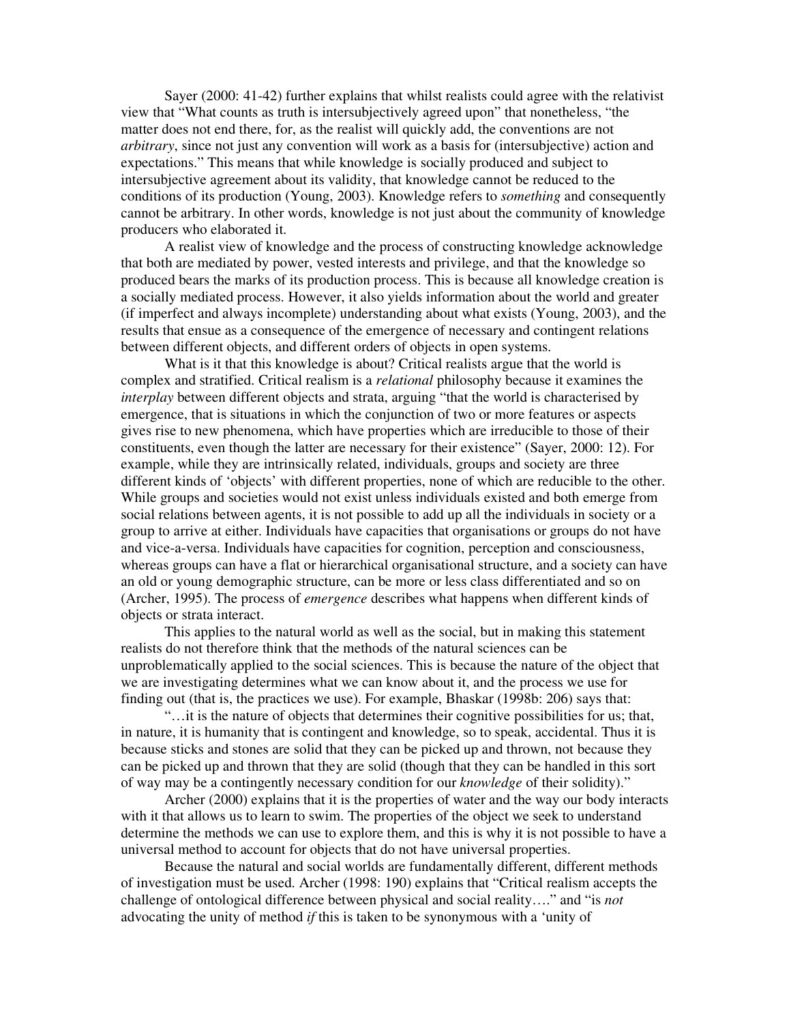Sayer (2000: 41-42) further explains that whilst realists could agree with the relativist view that "What counts as truth is intersubjectively agreed upon" that nonetheless, "the matter does not end there, for, as the realist will quickly add, the conventions are not *arbitrary*, since not just any convention will work as a basis for (intersubjective) action and expectations." This means that while knowledge is socially produced and subject to intersubjective agreement about its validity, that knowledge cannot be reduced to the conditions of its production (Young, 2003). Knowledge refers to *something* and consequently cannot be arbitrary. In other words, knowledge is not just about the community of knowledge producers who elaborated it.

A realist view of knowledge and the process of constructing knowledge acknowledge that both are mediated by power, vested interests and privilege, and that the knowledge so produced bears the marks of its production process. This is because all knowledge creation is a socially mediated process. However, it also yields information about the world and greater (if imperfect and always incomplete) understanding about what exists (Young, 2003), and the results that ensue as a consequence of the emergence of necessary and contingent relations between different objects, and different orders of objects in open systems.

What is it that this knowledge is about? Critical realists argue that the world is complex and stratified. Critical realism is a *relational* philosophy because it examines the *interplay* between different objects and strata, arguing "that the world is characterised by emergence, that is situations in which the conjunction of two or more features or aspects gives rise to new phenomena, which have properties which are irreducible to those of their constituents, even though the latter are necessary for their existence" (Sayer, 2000: 12). For example, while they are intrinsically related, individuals, groups and society are three different kinds of 'objects' with different properties, none of which are reducible to the other. While groups and societies would not exist unless individuals existed and both emerge from social relations between agents, it is not possible to add up all the individuals in society or a group to arrive at either. Individuals have capacities that organisations or groups do not have and vice-a-versa. Individuals have capacities for cognition, perception and consciousness, whereas groups can have a flat or hierarchical organisational structure, and a society can have an old or young demographic structure, can be more or less class differentiated and so on (Archer, 1995). The process of *emergence* describes what happens when different kinds of objects or strata interact.

This applies to the natural world as well as the social, but in making this statement realists do not therefore think that the methods of the natural sciences can be unproblematically applied to the social sciences. This is because the nature of the object that we are investigating determines what we can know about it, and the process we use for finding out (that is, the practices we use). For example, Bhaskar (1998b: 206) says that:

"…it is the nature of objects that determines their cognitive possibilities for us; that, in nature, it is humanity that is contingent and knowledge, so to speak, accidental. Thus it is because sticks and stones are solid that they can be picked up and thrown, not because they can be picked up and thrown that they are solid (though that they can be handled in this sort of way may be a contingently necessary condition for our *knowledge* of their solidity)."

Archer (2000) explains that it is the properties of water and the way our body interacts with it that allows us to learn to swim. The properties of the object we seek to understand determine the methods we can use to explore them, and this is why it is not possible to have a universal method to account for objects that do not have universal properties.

Because the natural and social worlds are fundamentally different, different methods of investigation must be used. Archer (1998: 190) explains that "Critical realism accepts the challenge of ontological difference between physical and social reality…." and "is *not* advocating the unity of method *if* this is taken to be synonymous with a 'unity of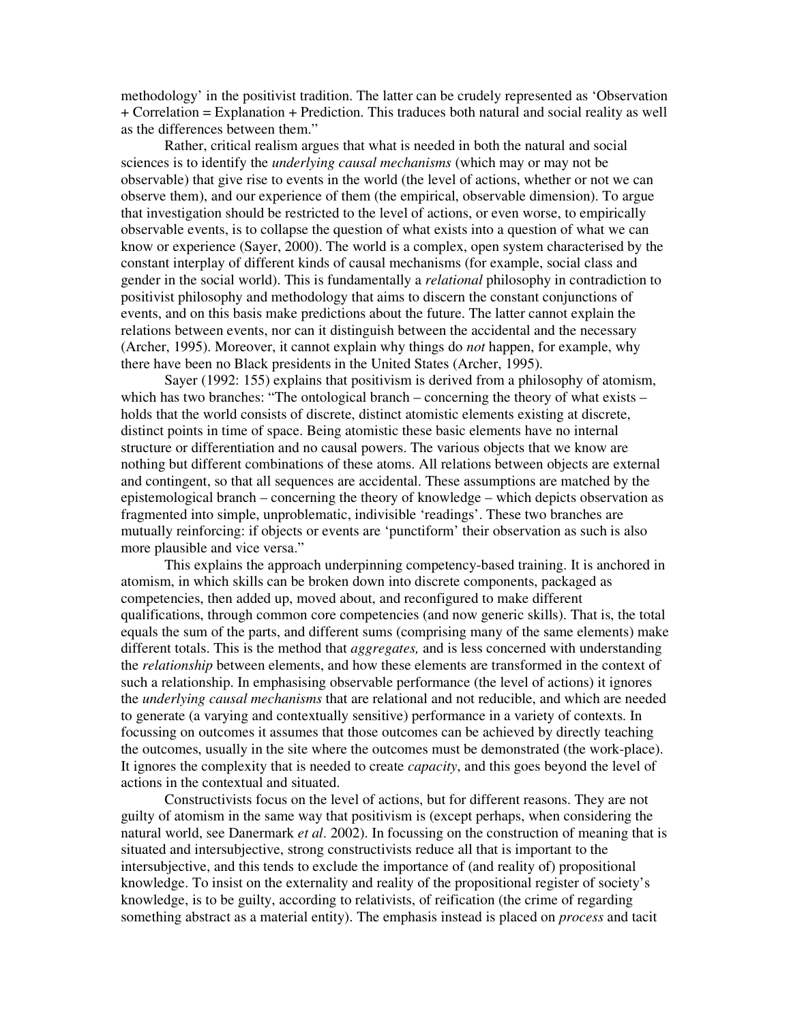methodology' in the positivist tradition. The latter can be crudely represented as 'Observation + Correlation = Explanation + Prediction. This traduces both natural and social reality as well as the differences between them."

Rather, critical realism argues that what is needed in both the natural and social sciences is to identify the *underlying causal mechanisms* (which may or may not be observable) that give rise to events in the world (the level of actions, whether or not we can observe them), and our experience of them (the empirical, observable dimension). To argue that investigation should be restricted to the level of actions, or even worse, to empirically observable events, is to collapse the question of what exists into a question of what we can know or experience (Sayer, 2000). The world is a complex, open system characterised by the constant interplay of different kinds of causal mechanisms (for example, social class and gender in the social world). This is fundamentally a *relational* philosophy in contradiction to positivist philosophy and methodology that aims to discern the constant conjunctions of events, and on this basis make predictions about the future. The latter cannot explain the relations between events, nor can it distinguish between the accidental and the necessary (Archer, 1995). Moreover, it cannot explain why things do *not* happen, for example, why there have been no Black presidents in the United States (Archer, 1995).

Sayer (1992: 155) explains that positivism is derived from a philosophy of atomism, which has two branches: "The ontological branch – concerning the theory of what exists – holds that the world consists of discrete, distinct atomistic elements existing at discrete, distinct points in time of space. Being atomistic these basic elements have no internal structure or differentiation and no causal powers. The various objects that we know are nothing but different combinations of these atoms. All relations between objects are external and contingent, so that all sequences are accidental. These assumptions are matched by the epistemological branch – concerning the theory of knowledge – which depicts observation as fragmented into simple, unproblematic, indivisible 'readings'. These two branches are mutually reinforcing: if objects or events are 'punctiform' their observation as such is also more plausible and vice versa."

This explains the approach underpinning competency-based training. It is anchored in atomism, in which skills can be broken down into discrete components, packaged as competencies, then added up, moved about, and reconfigured to make different qualifications, through common core competencies (and now generic skills). That is, the total equals the sum of the parts, and different sums (comprising many of the same elements) make different totals. This is the method that *aggregates,* and is less concerned with understanding the *relationship* between elements, and how these elements are transformed in the context of such a relationship. In emphasising observable performance (the level of actions) it ignores the *underlying causal mechanisms* that are relational and not reducible, and which are needed to generate (a varying and contextually sensitive) performance in a variety of contexts. In focussing on outcomes it assumes that those outcomes can be achieved by directly teaching the outcomes, usually in the site where the outcomes must be demonstrated (the work-place). It ignores the complexity that is needed to create *capacity*, and this goes beyond the level of actions in the contextual and situated.

Constructivists focus on the level of actions, but for different reasons. They are not guilty of atomism in the same way that positivism is (except perhaps, when considering the natural world, see Danermark *et al*. 2002). In focussing on the construction of meaning that is situated and intersubjective, strong constructivists reduce all that is important to the intersubjective, and this tends to exclude the importance of (and reality of) propositional knowledge. To insist on the externality and reality of the propositional register of society's knowledge, is to be guilty, according to relativists, of reification (the crime of regarding something abstract as a material entity). The emphasis instead is placed on *process* and tacit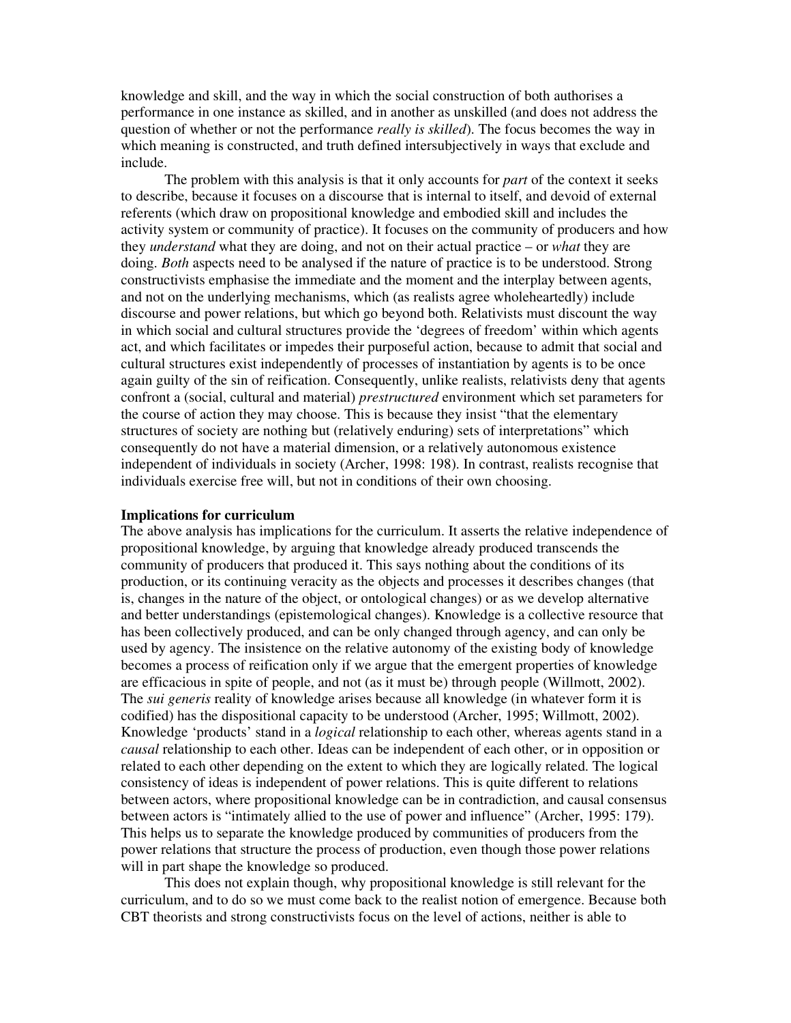knowledge and skill, and the way in which the social construction of both authorises a performance in one instance as skilled, and in another as unskilled (and does not address the question of whether or not the performance *really is skilled*). The focus becomes the way in which meaning is constructed, and truth defined intersubjectively in ways that exclude and include.

The problem with this analysis is that it only accounts for *part* of the context it seeks to describe, because it focuses on a discourse that is internal to itself, and devoid of external referents (which draw on propositional knowledge and embodied skill and includes the activity system or community of practice). It focuses on the community of producers and how they *understand* what they are doing, and not on their actual practice – or *what* they are doing. *Both* aspects need to be analysed if the nature of practice is to be understood. Strong constructivists emphasise the immediate and the moment and the interplay between agents, and not on the underlying mechanisms, which (as realists agree wholeheartedly) include discourse and power relations, but which go beyond both. Relativists must discount the way in which social and cultural structures provide the 'degrees of freedom' within which agents act, and which facilitates or impedes their purposeful action, because to admit that social and cultural structures exist independently of processes of instantiation by agents is to be once again guilty of the sin of reification. Consequently, unlike realists, relativists deny that agents confront a (social, cultural and material) *prestructured* environment which set parameters for the course of action they may choose. This is because they insist "that the elementary structures of society are nothing but (relatively enduring) sets of interpretations" which consequently do not have a material dimension, or a relatively autonomous existence independent of individuals in society (Archer, 1998: 198). In contrast, realists recognise that individuals exercise free will, but not in conditions of their own choosing.

#### **Implications for curriculum**

The above analysis has implications for the curriculum. It asserts the relative independence of propositional knowledge, by arguing that knowledge already produced transcends the community of producers that produced it. This says nothing about the conditions of its production, or its continuing veracity as the objects and processes it describes changes (that is, changes in the nature of the object, or ontological changes) or as we develop alternative and better understandings (epistemological changes). Knowledge is a collective resource that has been collectively produced, and can be only changed through agency, and can only be used by agency. The insistence on the relative autonomy of the existing body of knowledge becomes a process of reification only if we argue that the emergent properties of knowledge are efficacious in spite of people, and not (as it must be) through people (Willmott, 2002). The *sui generis* reality of knowledge arises because all knowledge (in whatever form it is codified) has the dispositional capacity to be understood (Archer, 1995; Willmott, 2002). Knowledge 'products' stand in a *logical* relationship to each other, whereas agents stand in a *causal* relationship to each other. Ideas can be independent of each other, or in opposition or related to each other depending on the extent to which they are logically related. The logical consistency of ideas is independent of power relations. This is quite different to relations between actors, where propositional knowledge can be in contradiction, and causal consensus between actors is "intimately allied to the use of power and influence" (Archer, 1995: 179). This helps us to separate the knowledge produced by communities of producers from the power relations that structure the process of production, even though those power relations will in part shape the knowledge so produced.

This does not explain though, why propositional knowledge is still relevant for the curriculum, and to do so we must come back to the realist notion of emergence. Because both CBT theorists and strong constructivists focus on the level of actions, neither is able to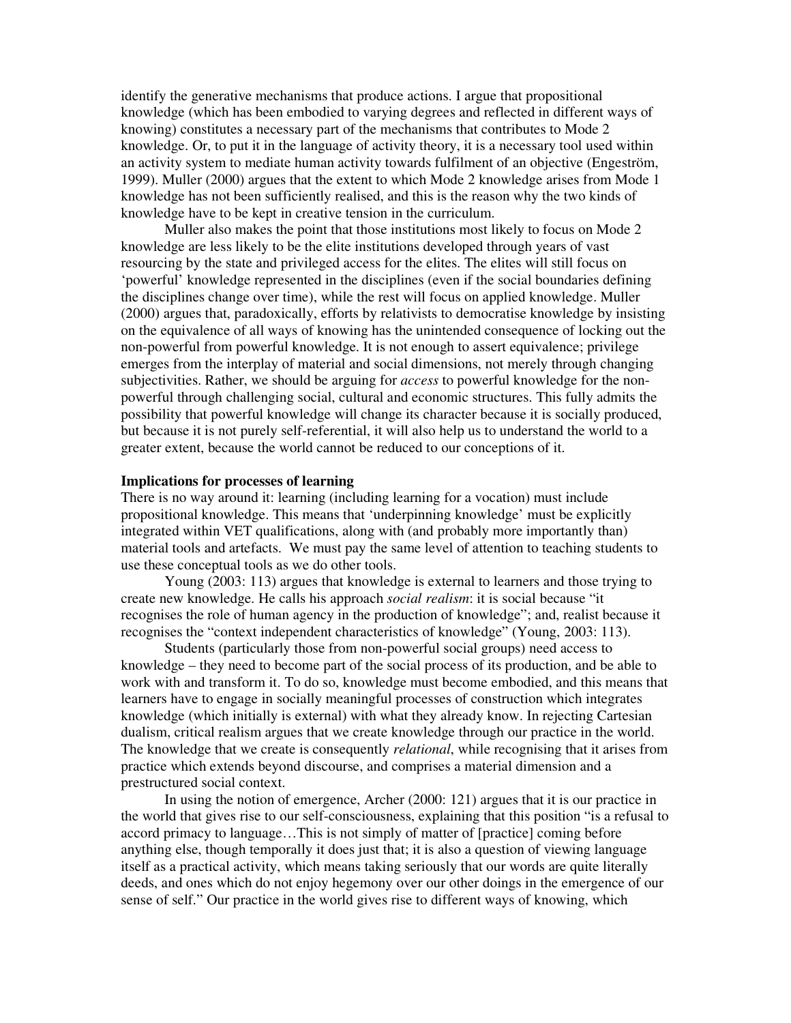identify the generative mechanisms that produce actions. I argue that propositional knowledge (which has been embodied to varying degrees and reflected in different ways of knowing) constitutes a necessary part of the mechanisms that contributes to Mode 2 knowledge. Or, to put it in the language of activity theory, it is a necessary tool used within an activity system to mediate human activity towards fulfilment of an objective (Engeström, 1999). Muller (2000) argues that the extent to which Mode 2 knowledge arises from Mode 1 knowledge has not been sufficiently realised, and this is the reason why the two kinds of knowledge have to be kept in creative tension in the curriculum.

Muller also makes the point that those institutions most likely to focus on Mode 2 knowledge are less likely to be the elite institutions developed through years of vast resourcing by the state and privileged access for the elites. The elites will still focus on 'powerful' knowledge represented in the disciplines (even if the social boundaries defining the disciplines change over time), while the rest will focus on applied knowledge. Muller (2000) argues that, paradoxically, efforts by relativists to democratise knowledge by insisting on the equivalence of all ways of knowing has the unintended consequence of locking out the non-powerful from powerful knowledge. It is not enough to assert equivalence; privilege emerges from the interplay of material and social dimensions, not merely through changing subjectivities. Rather, we should be arguing for *access* to powerful knowledge for the nonpowerful through challenging social, cultural and economic structures. This fully admits the possibility that powerful knowledge will change its character because it is socially produced, but because it is not purely self-referential, it will also help us to understand the world to a greater extent, because the world cannot be reduced to our conceptions of it.

### **Implications for processes of learning**

There is no way around it: learning (including learning for a vocation) must include propositional knowledge. This means that 'underpinning knowledge' must be explicitly integrated within VET qualifications, along with (and probably more importantly than) material tools and artefacts. We must pay the same level of attention to teaching students to use these conceptual tools as we do other tools.

Young (2003: 113) argues that knowledge is external to learners and those trying to create new knowledge. He calls his approach *social realism*: it is social because "it recognises the role of human agency in the production of knowledge"; and, realist because it recognises the "context independent characteristics of knowledge" (Young, 2003: 113).

Students (particularly those from non-powerful social groups) need access to knowledge – they need to become part of the social process of its production, and be able to work with and transform it. To do so, knowledge must become embodied, and this means that learners have to engage in socially meaningful processes of construction which integrates knowledge (which initially is external) with what they already know. In rejecting Cartesian dualism, critical realism argues that we create knowledge through our practice in the world. The knowledge that we create is consequently *relational*, while recognising that it arises from practice which extends beyond discourse, and comprises a material dimension and a prestructured social context.

In using the notion of emergence, Archer (2000: 121) argues that it is our practice in the world that gives rise to our self-consciousness, explaining that this position "is a refusal to accord primacy to language…This is not simply of matter of [practice] coming before anything else, though temporally it does just that; it is also a question of viewing language itself as a practical activity, which means taking seriously that our words are quite literally deeds, and ones which do not enjoy hegemony over our other doings in the emergence of our sense of self." Our practice in the world gives rise to different ways of knowing, which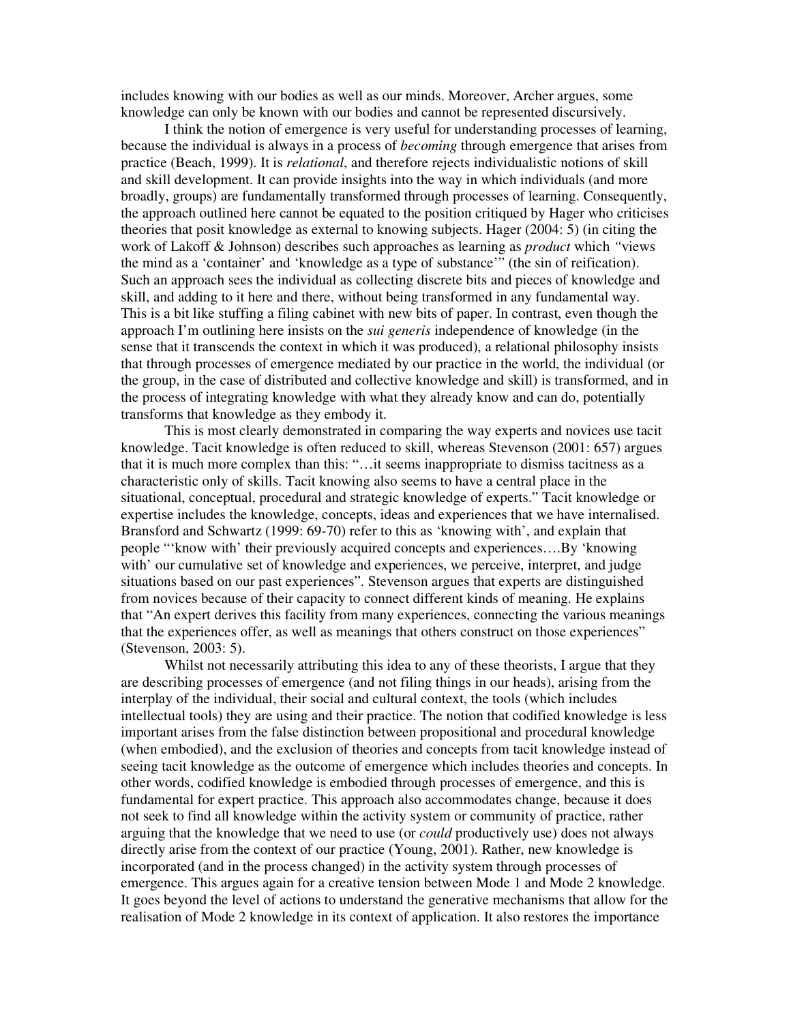includes knowing with our bodies as well as our minds. Moreover, Archer argues, some knowledge can only be known with our bodies and cannot be represented discursively.

I think the notion of emergence is very useful for understanding processes of learning, because the individual is always in a process of *becoming* through emergence that arises from practice (Beach, 1999). It is *relational*, and therefore rejects individualistic notions of skill and skill development. It can provide insights into the way in which individuals (and more broadly, groups) are fundamentally transformed through processes of learning. Consequently, the approach outlined here cannot be equated to the position critiqued by Hager who criticises theories that posit knowledge as external to knowing subjects. Hager (2004: 5) (in citing the work of Lakoff & Johnson) describes such approaches as learning as *product* which *"*views the mind as a 'container' and 'knowledge as a type of substance'" (the sin of reification). Such an approach sees the individual as collecting discrete bits and pieces of knowledge and skill, and adding to it here and there, without being transformed in any fundamental way. This is a bit like stuffing a filing cabinet with new bits of paper. In contrast, even though the approach I'm outlining here insists on the *sui generis* independence of knowledge (in the sense that it transcends the context in which it was produced), a relational philosophy insists that through processes of emergence mediated by our practice in the world, the individual (or the group, in the case of distributed and collective knowledge and skill) is transformed, and in the process of integrating knowledge with what they already know and can do, potentially transforms that knowledge as they embody it.

This is most clearly demonstrated in comparing the way experts and novices use tacit knowledge. Tacit knowledge is often reduced to skill, whereas Stevenson (2001: 657) argues that it is much more complex than this: "…it seems inappropriate to dismiss tacitness as a characteristic only of skills. Tacit knowing also seems to have a central place in the situational, conceptual, procedural and strategic knowledge of experts." Tacit knowledge or expertise includes the knowledge, concepts, ideas and experiences that we have internalised. Bransford and Schwartz (1999: 69-70) refer to this as 'knowing with', and explain that people "'know with' their previously acquired concepts and experiences….By 'knowing with' our cumulative set of knowledge and experiences, we perceive, interpret, and judge situations based on our past experiences". Stevenson argues that experts are distinguished from novices because of their capacity to connect different kinds of meaning. He explains that "An expert derives this facility from many experiences, connecting the various meanings that the experiences offer, as well as meanings that others construct on those experiences" (Stevenson, 2003: 5).

Whilst not necessarily attributing this idea to any of these theorists, I argue that they are describing processes of emergence (and not filing things in our heads), arising from the interplay of the individual, their social and cultural context, the tools (which includes intellectual tools) they are using and their practice. The notion that codified knowledge is less important arises from the false distinction between propositional and procedural knowledge (when embodied), and the exclusion of theories and concepts from tacit knowledge instead of seeing tacit knowledge as the outcome of emergence which includes theories and concepts. In other words, codified knowledge is embodied through processes of emergence, and this is fundamental for expert practice. This approach also accommodates change, because it does not seek to find all knowledge within the activity system or community of practice, rather arguing that the knowledge that we need to use (or *could* productively use) does not always directly arise from the context of our practice (Young, 2001). Rather, new knowledge is incorporated (and in the process changed) in the activity system through processes of emergence. This argues again for a creative tension between Mode 1 and Mode 2 knowledge. It goes beyond the level of actions to understand the generative mechanisms that allow for the realisation of Mode 2 knowledge in its context of application. It also restores the importance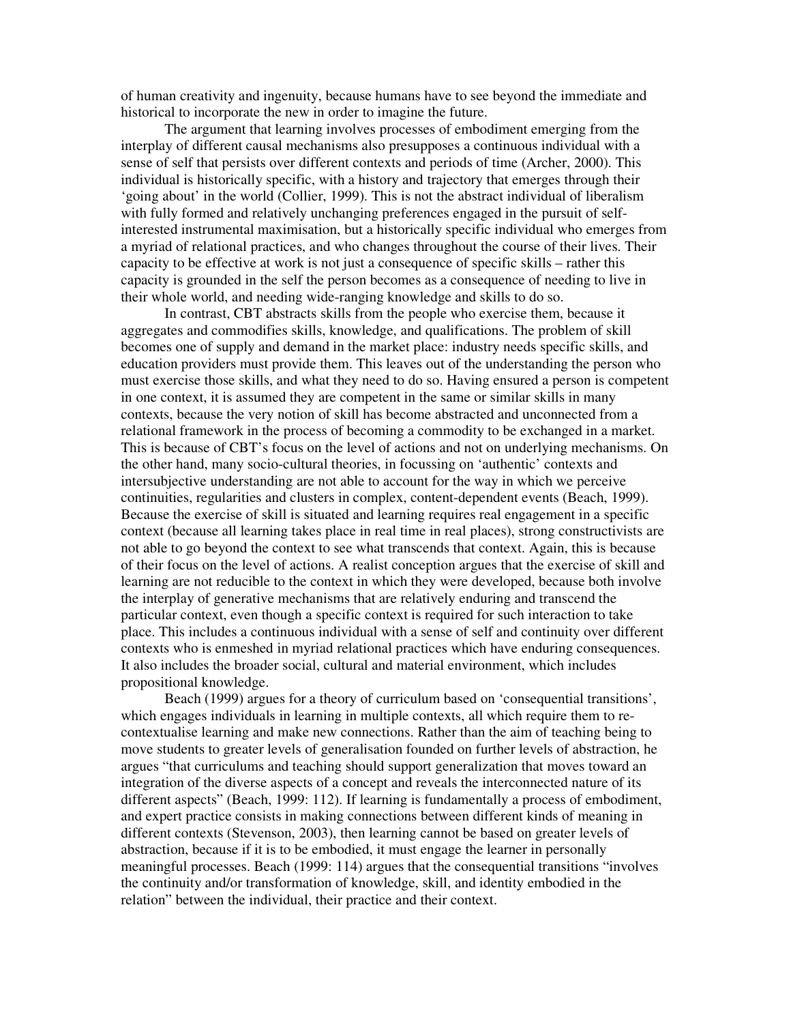of human creativity and ingenuity, because humans have to see beyond the immediate and historical to incorporate the new in order to imagine the future.

The argument that learning involves processes of embodiment emerging from the interplay of different causal mechanisms also presupposes a continuous individual with a sense of self that persists over different contexts and periods of time (Archer, 2000). This individual is historically specific, with a history and trajectory that emerges through their 'going about' in the world (Collier, 1999). This is not the abstract individual of liberalism with fully formed and relatively unchanging preferences engaged in the pursuit of selfinterested instrumental maximisation, but a historically specific individual who emerges from a myriad of relational practices, and who changes throughout the course of their lives. Their capacity to be effective at work is not just a consequence of specific skills – rather this capacity is grounded in the self the person becomes as a consequence of needing to live in their whole world, and needing wide-ranging knowledge and skills to do so.

In contrast, CBT abstracts skills from the people who exercise them, because it aggregates and commodifies skills, knowledge, and qualifications. The problem of skill becomes one of supply and demand in the market place: industry needs specific skills, and education providers must provide them. This leaves out of the understanding the person who must exercise those skills, and what they need to do so. Having ensured a person is competent in one context, it is assumed they are competent in the same or similar skills in many contexts, because the very notion of skill has become abstracted and unconnected from a relational framework in the process of becoming a commodity to be exchanged in a market. This is because of CBT's focus on the level of actions and not on underlying mechanisms. On the other hand, many socio-cultural theories, in focussing on 'authentic' contexts and intersubjective understanding are not able to account for the way in which we perceive continuities, regularities and clusters in complex, content-dependent events (Beach, 1999). Because the exercise of skill is situated and learning requires real engagement in a specific context (because all learning takes place in real time in real places), strong constructivists are not able to go beyond the context to see what transcends that context. Again, this is because of their focus on the level of actions. A realist conception argues that the exercise of skill and learning are not reducible to the context in which they were developed, because both involve the interplay of generative mechanisms that are relatively enduring and transcend the particular context, even though a specific context is required for such interaction to take place. This includes a continuous individual with a sense of self and continuity over different contexts who is enmeshed in myriad relational practices which have enduring consequences. It also includes the broader social, cultural and material environment, which includes propositional knowledge.

Beach (1999) argues for a theory of curriculum based on 'consequential transitions', which engages individuals in learning in multiple contexts, all which require them to recontextualise learning and make new connections. Rather than the aim of teaching being to move students to greater levels of generalisation founded on further levels of abstraction, he argues "that curriculums and teaching should support generalization that moves toward an integration of the diverse aspects of a concept and reveals the interconnected nature of its different aspects" (Beach, 1999: 112). If learning is fundamentally a process of embodiment, and expert practice consists in making connections between different kinds of meaning in different contexts (Stevenson, 2003), then learning cannot be based on greater levels of abstraction, because if it is to be embodied, it must engage the learner in personally meaningful processes. Beach (1999: 114) argues that the consequential transitions "involves the continuity and/or transformation of knowledge, skill, and identity embodied in the relation" between the individual, their practice and their context.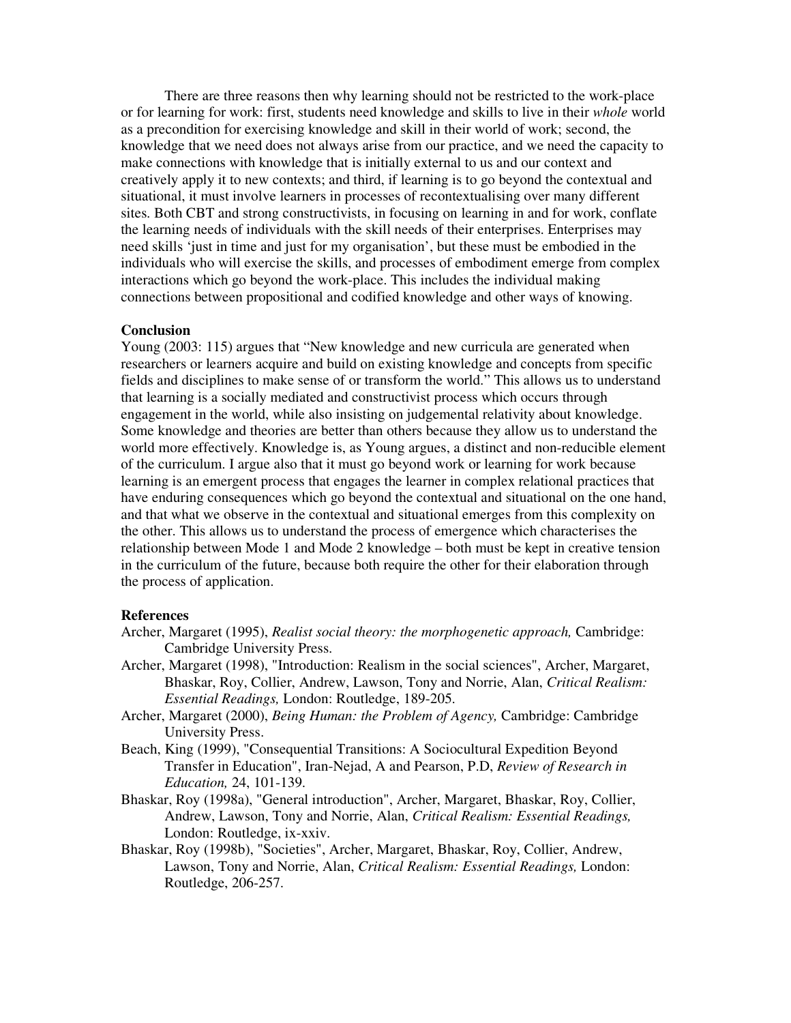There are three reasons then why learning should not be restricted to the work-place or for learning for work: first, students need knowledge and skills to live in their *whole* world as a precondition for exercising knowledge and skill in their world of work; second, the knowledge that we need does not always arise from our practice, and we need the capacity to make connections with knowledge that is initially external to us and our context and creatively apply it to new contexts; and third, if learning is to go beyond the contextual and situational, it must involve learners in processes of recontextualising over many different sites. Both CBT and strong constructivists, in focusing on learning in and for work, conflate the learning needs of individuals with the skill needs of their enterprises. Enterprises may need skills 'just in time and just for my organisation', but these must be embodied in the individuals who will exercise the skills, and processes of embodiment emerge from complex interactions which go beyond the work-place. This includes the individual making connections between propositional and codified knowledge and other ways of knowing.

### **Conclusion**

Young (2003: 115) argues that "New knowledge and new curricula are generated when researchers or learners acquire and build on existing knowledge and concepts from specific fields and disciplines to make sense of or transform the world." This allows us to understand that learning is a socially mediated and constructivist process which occurs through engagement in the world, while also insisting on judgemental relativity about knowledge. Some knowledge and theories are better than others because they allow us to understand the world more effectively. Knowledge is, as Young argues, a distinct and non-reducible element of the curriculum. I argue also that it must go beyond work or learning for work because learning is an emergent process that engages the learner in complex relational practices that have enduring consequences which go beyond the contextual and situational on the one hand, and that what we observe in the contextual and situational emerges from this complexity on the other. This allows us to understand the process of emergence which characterises the relationship between Mode 1 and Mode 2 knowledge – both must be kept in creative tension in the curriculum of the future, because both require the other for their elaboration through the process of application.

# **References**

- Archer, Margaret (1995), *Realist social theory: the morphogenetic approach,* Cambridge: Cambridge University Press.
- Archer, Margaret (1998), "Introduction: Realism in the social sciences", Archer, Margaret, Bhaskar, Roy, Collier, Andrew, Lawson, Tony and Norrie, Alan, *Critical Realism: Essential Readings,* London: Routledge, 189-205.
- Archer, Margaret (2000), *Being Human: the Problem of Agency,* Cambridge: Cambridge University Press.
- Beach, King (1999), "Consequential Transitions: A Sociocultural Expedition Beyond Transfer in Education", Iran-Nejad, A and Pearson, P.D, *Review of Research in Education,* 24, 101-139.
- Bhaskar, Roy (1998a), "General introduction", Archer, Margaret, Bhaskar, Roy, Collier, Andrew, Lawson, Tony and Norrie, Alan, *Critical Realism: Essential Readings,* London: Routledge, ix-xxiv.
- Bhaskar, Roy (1998b), "Societies", Archer, Margaret, Bhaskar, Roy, Collier, Andrew, Lawson, Tony and Norrie, Alan, *Critical Realism: Essential Readings,* London: Routledge, 206-257.